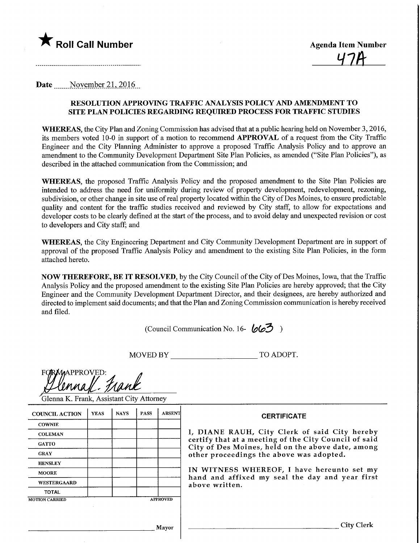

 $47A$ 

Date November 21, 2016

# RESOLUTION APPROVING TRAFFIC ANALYSIS POLICY AND AMENDMENT TO SITE PLAN POLICIES REGARDING REQUffiED PROCESS FOR TRAFFIC STUDIES

WHEREAS, the City Plan and Zoning Commission has advised that at a public hearing held on November 3, 2016, its members voted 10-0 in support of a motion to recommend APPROVAL of a request from the City Traffic Engineer and the City Planning Administer to approve a proposed Traffic Analysis Policy and to approve an amendment to the Community Development Department Site Plan Policies, as amended ("Site Plan Policies"), as described in the attached communication from the Commission; and

WHEREAS, the proposed Traffic Analysis Policy and the proposed amendment to the Site Plan Policies are intended to address the need for uniformity during review of property development, redevelopment, rezoning, subdivision, or other change in site use of real property located within the City of Des Moines, to ensure predictable quality and content for the traffic studies received and reviewed by City staff, to allow for expectations and developer costs to be clearly defined at the start of the process, and to avoid delay and unexpected revision or cost to developers and City staff; and

WHEREAS, the City Engineering Department and City Community Development Department are in support of approval of the proposed Traffic Analysis Policy and amendment to the existing Site Plan Policies, in the form attached hereto.

NOW THEREFORE, BE IT RESOLVED, by the City Council of the City ofDes Moines, Iowa, that the Traffic Analysis Policy and the proposed amendment to the existing Site Plan Policies are hereby approved; that the City Engineer and the Community Development Department Director, and their designees, are hereby authorized and directed to implement said documents; and that the Plan and Zoning Commission communication is hereby received and filed.

(Council Communication No. 16- $\mathcal{Q} \rightarrow$ )

MOVED BY TO ADOPT.

| <b>FORMAPPROVED:</b> |  |
|----------------------|--|
|                      |  |
| lennall. Frank       |  |

Glenna K. Frank, Assistant City Attorney

| <b>COUNCIL ACTION</b> | <b>YEAS</b> | <b>NAYS</b> | <b>PASS</b> | <b>ABSENT</b>   | <b>CERTIFICATE</b>                                                                                         |
|-----------------------|-------------|-------------|-------------|-----------------|------------------------------------------------------------------------------------------------------------|
| <b>COWNIE</b>         |             |             |             |                 |                                                                                                            |
| <b>COLEMAN</b>        |             |             |             |                 | I, DIANE RAUH, City Clerk of said City hereby                                                              |
| <b>GATTO</b>          |             |             |             |                 | certify that at a meeting of the City Council of said<br>City of Des Moines, held on the above date, among |
| <b>GRAY</b>           |             |             |             |                 | other proceedings the above was adopted.                                                                   |
| <b>HENSLEY</b>        |             |             |             |                 |                                                                                                            |
| <b>MOORE</b>          |             |             |             |                 | IN WITNESS WHEREOF, I have hereunto set my                                                                 |
| WESTERGAARD           |             |             |             |                 | hand and affixed my seal the day and year first<br>above written.                                          |
| <b>TOTAL</b>          |             |             |             |                 |                                                                                                            |
| <b>MOTION CARRIED</b> |             |             |             | <b>APPROVED</b> |                                                                                                            |
|                       |             |             |             |                 |                                                                                                            |
|                       |             |             |             | Mavor           |                                                                                                            |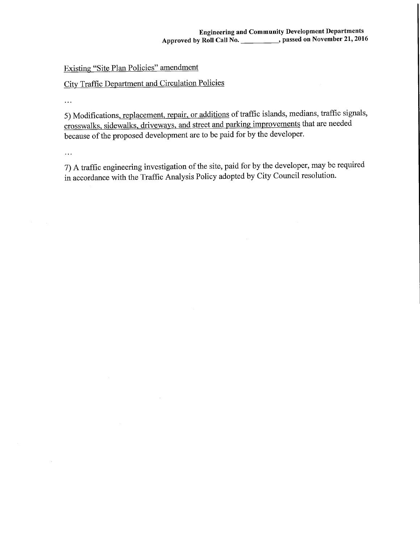# Existing "Site Plan Policies" amendment

### City Traffic Department and Circulation Policies

 $\ddotsc$ 

5) Modifications, replacement, repair, or additions of traffic islands, medians, traffic signals, crosswalks, sidewalks, driveways, and street and parking improvements that are needed because of the proposed development are to be paid for by the developer.

 $\ddotsc$ 

7) A traffic engineering investigation of the site, paid for by the developer, may be required in accordance with the Traffic Analysis Policy adopted by City Council resolution.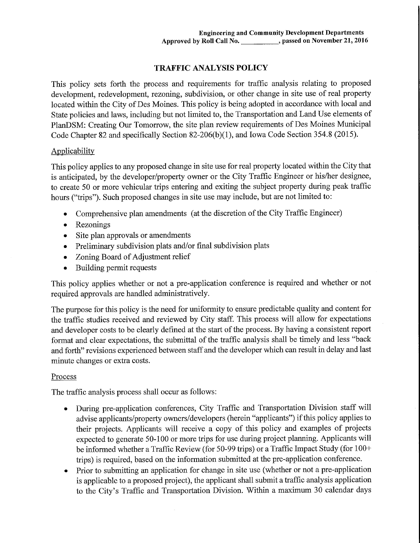# TRAFFIC ANALYSIS POLICY

This policy sets forth the process and requirements for traffic analysis relating to proposed development, redevelopment, rezoning, subdivision, or other change in site use of real property located within the City of Des Moines. This policy is being adopted in accordance with local and State policies and laws, including but not limited to, the Transportation and Land Use elements of PlanDSM: Creating Our Tomorrow, the site plan review requirements of Des Moines Municipal Code Chapter 82 and specifically Section 82-206(b)(l), and Iowa Code Section 354.8 (2015).

### Applicability

This policy applies to any proposed change in site use for real property located within the City that is anticipated, by the developer/property owner or the City Traffic Engineer or his/her designee, to create 50 or more vehicular trips entering and exiting the subject property during peak traffic hours ("trips"). Such proposed changes in site use may include, but are not limited to:

- Comprehensive plan amendments (at the discretion of the City Traffic Engineer)
- Rezonings
- Site plan approvals or amendments
- Preliminary subdivision plats and/or final subdivision plats
- Zoning Board of Adjustment relief
- Building permit requests

This policy applies whether or not a pre-application conference is required and whether or not required approvals are handled administratively.

The purpose for this policy is the need for uniformity to ensure predictable quality and content for the traffic studies received and reviewed by City staff. This process will allow for expectations and developer costs to be clearly defined at the start of the process. By having a consistent report format and clear expectations, the submittal of the traffic analysis shall be timely and less "back and forth" revisions experienced between staff and the developer which can result in delay and last minute changes or extra costs.

### Process

The traffic analysis process shall occur as follows:

- During pre-application conferences, City Traffic and Transportation Division staff will advise applicants/property owners/developers (herein "applicants") if this policy applies to their projects. Applicants will receive a copy of this policy and examples of projects expected to generate 50-100 or more trips for use during project planning. Applicants will be informed whether a Traffic Review (for 50-99 trips) or a Traffic Impact Study (for 100+ trips) is required, based on the information submitted at the pre-application conference.
- Prior to submitting an application for change in site use (whether or not a pre-application is applicable to a proposed project), the applicant shall submit a traffic analysis application to the City's Traffic and Transportation Division. Within a maximum 30 calendar days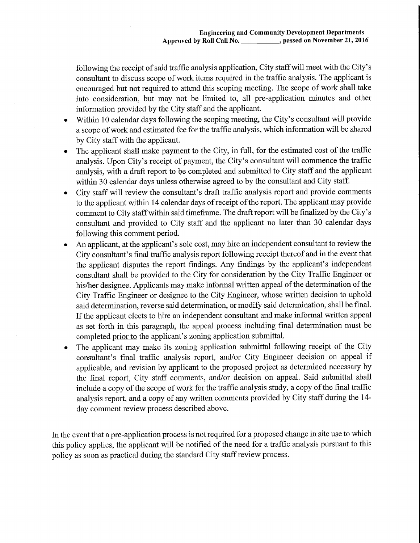following the receipt of said traffic analysis application. City staff will meet with the City's consultant to discuss scope of work items required in the traffic analysis. The applicant is encouraged but not required to attend this scoping meeting. The scope of work shall take into consideration, but may not be limited to, all pre-application minutes and other information provided by the City staff and the applicant.

- Within 10 calendar days following the scoping meeting, the City's consultant will provide a scope of work and estimated fee for the traffic analysis, which infonnation will be shared by City staff with the applicant.
- The applicant shall make payment to the City, in full, for the estimated cost of the traffic analysis. Upon City's receipt of payment, the City's consultant will commence the traffic analysis, with a draft report to be completed and submitted to City staff and the applicant within 30 calendar days unless otherwise agreed to by the consultant and City staff.
- City staff will review the consultant's draft traffic analysis report and provide comments to the applicant within 14 calendar days of receipt of the report. The applicant may provide comment to City staff within said timeframe. The draft report will be finalized by the City's consultant and provided to City staff and the applicant no later than 30 calendar days following this comment period.
- An applicant, at the applicant's sole cost, may hire an independent consultant to review the City consultant's final traffic analysis report following receipt thereof and in the event that the applicant disputes the report findings. Any findings by the applicant's independent consultant shall be provided to the City for consideration by the City Traffic Engineer or his/her designee. Applicants may make informal written appeal of the determination of the City Traffic Engineer or designee to the City Engineer, whose written decision to uphold said determination, reverse said determination, or modify said determination, shall be final. If the applicant elects to hire an independent consultant and make informal written appeal as set forth in this paragraph, the appeal process including final determination must be completed prior to the applicant's zoning application submittal.
- The applicant may make its zoning application submittal following receipt of the City consultant's final traffic analysis report, and/or City Engineer decision on appeal if applicable, and revision by applicant to the proposed project as determined necessary by the final report. City staff comments, and/or decision on appeal. Said submittal shall include a copy of the scope of work for the traffic analysis study, a copy of the final traffic analysis report, and a copy of any written comments provided by City staff during the 14 day comment review process described above.

In the event that a pre-application process is not required for a proposed change in site use to which this policy applies, the applicant will be notified of the need for a traffic analysis pursuant to this policy as soon as practical during the standard City staff review process.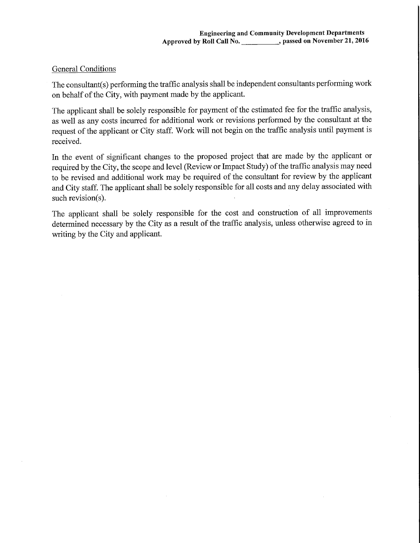## General Conditions

The consultant(s) performing the traffic analysis shall be independent consultants performing work on behalf of the City, with payment made by the applicant.

The applicant shall be solely responsible for payment of the estimated fee for the traffic analysis, as well as any costs incurred for additional work or revisions performed by the consultant at the request of the applicant or City staff. Work will not begin on the traffic analysis until payment is received.

In the event of significant changes to the proposed project that are made by the applicant or required by the City, the scope and level (Review or Impact Study) of the traffic analysis may need to be revised and additional work may be required of the consultant for review by the applicant and City staff. The applicant shall be solely responsible for all costs and any delay associated with such revision(s).

The applicant shall be solely responsible for the cost and construction of all improvements determined necessary by the City as a result of the traffic analysis, unless otherwise agreed to in writing by the City and applicant.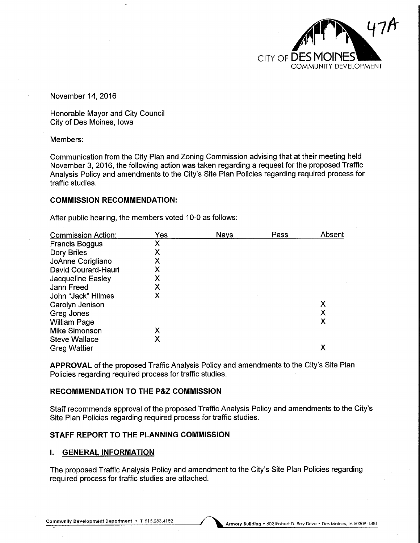

November 14, 2016

Honorable Mayor and City Council City of Des Moines, Iowa

Members:

Communication from the City Plan and Zoning Commission advising that at their meeting held November 3, 2016, the following action was taken regarding a request for the proposed Traffic Analysis Policy and amendments to the City's Site Plan Policies regarding required process for traffic studies.

#### COMMISSION RECOMMENDATION:

After public hearing, the members voted 10-0 as follows:

| <b>Commission Action:</b> | Yes | <b>Nays</b> | Pass | Absent |
|---------------------------|-----|-------------|------|--------|
| <b>Francis Boggus</b>     | Х   |             |      |        |
| Dory Briles               | Х   |             |      |        |
| JoAnne Corigliano         | X   |             |      |        |
| David Courard-Hauri       | X   |             |      |        |
| Jacqueline Easley         | X   |             |      |        |
| Jann Freed                | X   |             |      |        |
| John "Jack" Hilmes        | X   |             |      |        |
| Carolyn Jenison           |     |             |      | Х      |
| Greg Jones                |     |             |      | X      |
| <b>William Page</b>       |     |             |      | Χ      |
| <b>Mike Simonson</b>      | X   |             |      |        |
| <b>Steve Wallace</b>      | х   |             |      |        |
| <b>Greg Wattier</b>       |     |             |      | Х      |
|                           |     |             |      |        |

APPROVAL of the proposed Traffic Analysis Policy and amendments to the City's Site Plan Policies regarding required process for traffic studies.

#### RECOMMENDATION TO THE P&Z COMMISSION

Staff recommends approval of the proposed Traffic Analysis Policy and amendments to the City's Site Plan Policies regarding required process for traffic studies.

### STAFF REPORT TO THE PLANNING COMMISSION

#### I. GENERAL INFORMATION

The proposed Traffic Analysis Policy and amendment to the City's Site Plan Policies regarding required process for traffic studies are attached.